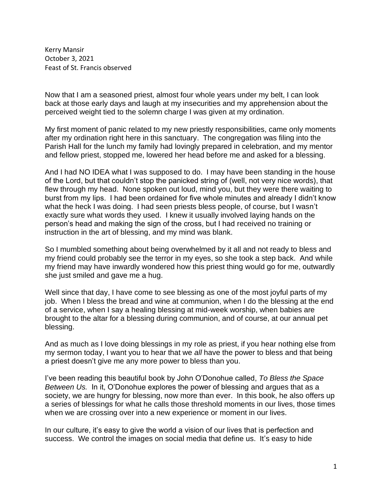Kerry Mansir October 3, 2021 Feast of St. Francis observed

Now that I am a seasoned priest, almost four whole years under my belt, I can look back at those early days and laugh at my insecurities and my apprehension about the perceived weight tied to the solemn charge I was given at my ordination.

My first moment of panic related to my new priestly responsibilities, came only moments after my ordination right here in this sanctuary. The congregation was filing into the Parish Hall for the lunch my family had lovingly prepared in celebration, and my mentor and fellow priest, stopped me, lowered her head before me and asked for a blessing.

And I had NO IDEA what I was supposed to do. I may have been standing in the house of the Lord, but that couldn't stop the panicked string of (well, not very nice words), that flew through my head. None spoken out loud, mind you, but they were there waiting to burst from my lips. I had been ordained for five whole minutes and already I didn't know what the heck I was doing. I had seen priests bless people, of course, but I wasn't exactly sure what words they used. I knew it usually involved laying hands on the person's head and making the sign of the cross, but I had received no training or instruction in the art of blessing, and my mind was blank.

So I mumbled something about being overwhelmed by it all and not ready to bless and my friend could probably see the terror in my eyes, so she took a step back. And while my friend may have inwardly wondered how this priest thing would go for me, outwardly she just smiled and gave me a hug.

Well since that day, I have come to see blessing as one of the most joyful parts of my job. When I bless the bread and wine at communion, when I do the blessing at the end of a service, when I say a healing blessing at mid-week worship, when babies are brought to the altar for a blessing during communion, and of course, at our annual pet blessing.

And as much as I love doing blessings in my role as priest, if you hear nothing else from my sermon today, I want you to hear that we *all* have the power to bless and that being a priest doesn't give me any more power to bless than you.

I've been reading this beautiful book by John O'Donohue called, *To Bless the Space Between Us.* In it, O'Donohue explores the power of blessing and argues that as a society, we are hungry for blessing, now more than ever. In this book, he also offers up a series of blessings for what he calls those threshold moments in our lives, those times when we are crossing over into a new experience or moment in our lives.

In our culture, it's easy to give the world a vision of our lives that is perfection and success. We control the images on social media that define us. It's easy to hide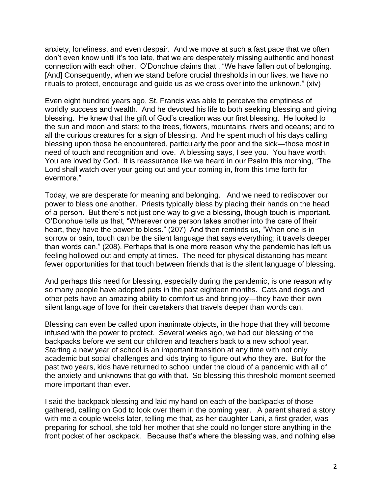anxiety, loneliness, and even despair. And we move at such a fast pace that we often don't even know until it's too late, that we are desperately missing authentic and honest connection with each other. O'Donohue claims that , "We have fallen out of belonging. [And] Consequently, when we stand before crucial thresholds in our lives, we have no rituals to protect, encourage and guide us as we cross over into the unknown." (xiv)

Even eight hundred years ago, St. Francis was able to perceive the emptiness of worldly success and wealth. And he devoted his life to both seeking blessing and giving blessing. He knew that the gift of God's creation was our first blessing. He looked to the sun and moon and stars; to the trees, flowers, mountains, rivers and oceans; and to all the curious creatures for a sign of blessing. And he spent much of his days calling blessing upon those he encountered, particularly the poor and the sick—those most in need of touch and recognition and love. A blessing says, I see you. You have worth. You are loved by God. It is reassurance like we heard in our Psalm this morning, "The Lord shall watch over your going out and your coming in, from this time forth for evermore."

Today, we are desperate for meaning and belonging. And we need to rediscover our power to bless one another. Priests typically bless by placing their hands on the head of a person. But there's not just one way to give a blessing, though touch is important. O'Donohue tells us that, "Wherever one person takes another into the care of their heart, they have the power to bless." (207) And then reminds us, "When one is in sorrow or pain, touch can be the silent language that says everything; it travels deeper than words can." (208). Perhaps that is one more reason why the pandemic has left us feeling hollowed out and empty at times. The need for physical distancing has meant fewer opportunities for that touch between friends that is the silent language of blessing.

And perhaps this need for blessing, especially during the pandemic, is one reason why so many people have adopted pets in the past eighteen months. Cats and dogs and other pets have an amazing ability to comfort us and bring joy—they have their own silent language of love for their caretakers that travels deeper than words can.

Blessing can even be called upon inanimate objects, in the hope that they will become infused with the power to protect. Several weeks ago, we had our blessing of the backpacks before we sent our children and teachers back to a new school year. Starting a new year of school is an important transition at any time with not only academic but social challenges and kids trying to figure out who they are. But for the past two years, kids have returned to school under the cloud of a pandemic with all of the anxiety and unknowns that go with that. So blessing this threshold moment seemed more important than ever.

I said the backpack blessing and laid my hand on each of the backpacks of those gathered, calling on God to look over them in the coming year. A parent shared a story with me a couple weeks later, telling me that, as her daughter Lani, a first grader, was preparing for school, she told her mother that she could no longer store anything in the front pocket of her backpack. Because that's where the blessing was, and nothing else